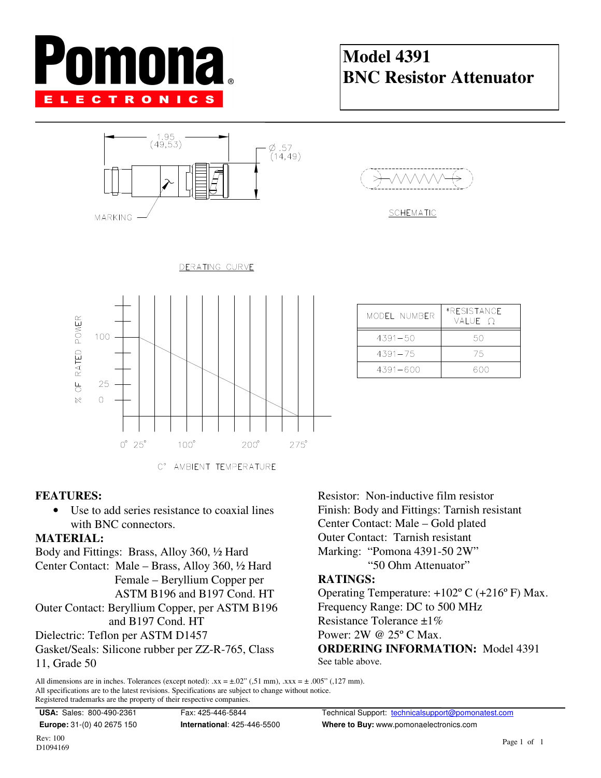# mona **ELECTRONICS**

### Model 4391 BNC Resistor Attenuator





MODEL NUMBER

 $4391 - 50$ 

 $4391 - 75$ 

 $4391 - 600$ 

\*RESISTANCE

VALUE 2

 $50$ 

75

600



#### FEATURES:

• Use to add series resistance to coaxial lines with BNC connectors.

#### MATERIAL:

Body and Fittings: Brass, Alloy 360, ½ Hard Center Contact: Male – Brass, Alloy 360, ½ Hard Female – Beryllium Copper per ASTM B196 and B197 Cond. HT Outer Contact: Beryllium Copper, per ASTM B196 and B197 Cond. HT Dielectric: Teflon per ASTM D1457 Gasket/Seals: Silicone rubber per ZZ-R-765, Class

11, Grade 50

Resistor: Non-inductive film resistor Finish: Body and Fittings: Tarnish resistant Center Contact: Male – Gold plated Outer Contact: Tarnish resistant Marking: "Pomona 4391-50 2W" "50 Ohm Attenuator"

#### RATINGS:

Operating Temperature: +102º C (+216º F) Max. Frequency Range: DC to 500 MHz Resistance Tolerance ±1% Power: 2W @ 25º C Max. ORDERING INFORMATION: Model 4391 See table above.

All dimensions are in inches. Tolerances (except noted):  $xx = \pm .02$ " (,51 mm),  $xxx = \pm .005$ " (,127 mm). All specifications are to the latest revisions. Specifications are subject to change without notice. Registered trademarks are the property of their respective companies.

USA: Sales: 800-490-2361 Fax: 425-446-5844 Technical Support: technicalsupport@pomonatest.com Europe: 31-(0) 40 2675 150 **International:** 425-446-5500 **Where to Buy:** www.pomonaelectronics.com

Rev: 100 D1094169